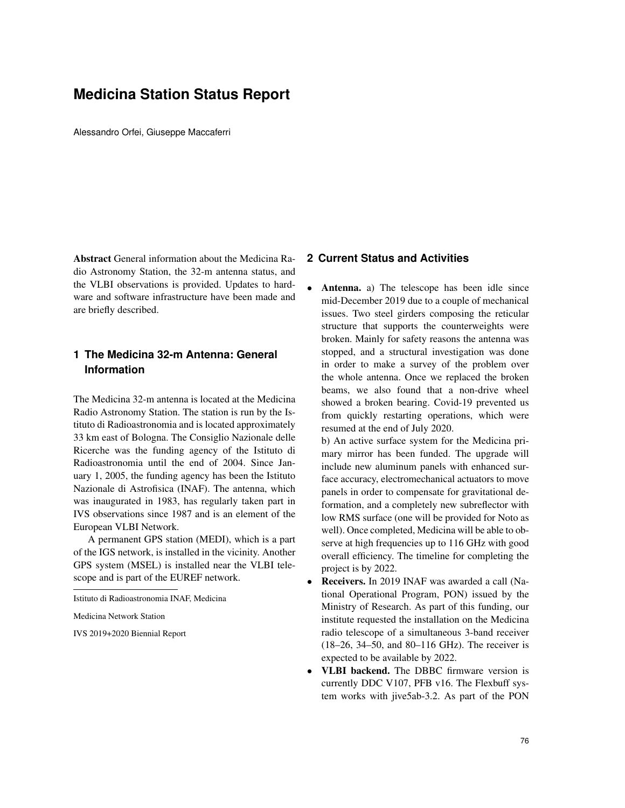# **Medicina Station Status Report**

Alessandro Orfei, Giuseppe Maccaferri

Abstract General information about the Medicina Radio Astronomy Station, the 32-m antenna status, and the VLBI observations is provided. Updates to hardware and software infrastructure have been made and are briefly described.

## **1 The Medicina 32-m Antenna: General Information**

The Medicina 32-m antenna is located at the Medicina Radio Astronomy Station. The station is run by the Istituto di Radioastronomia and is located approximately 33 km east of Bologna. The Consiglio Nazionale delle Ricerche was the funding agency of the Istituto di Radioastronomia until the end of 2004. Since January 1, 2005, the funding agency has been the Istituto Nazionale di Astrofisica (INAF). The antenna, which was inaugurated in 1983, has regularly taken part in IVS observations since 1987 and is an element of the European VLBI Network.

A permanent GPS station (MEDI), which is a part of the IGS network, is installed in the vicinity. Another GPS system (MSEL) is installed near the VLBI telescope and is part of the EUREF network.

Istituto di Radioastronomia INAF, Medicina

Medicina Network Station

IVS 2019+2020 Biennial Report

#### **2 Current Status and Activities**

• Antenna. a) The telescope has been idle since mid-December 2019 due to a couple of mechanical issues. Two steel girders composing the reticular structure that supports the counterweights were broken. Mainly for safety reasons the antenna was stopped, and a structural investigation was done in order to make a survey of the problem over the whole antenna. Once we replaced the broken beams, we also found that a non-drive wheel showed a broken bearing. Covid-19 prevented us from quickly restarting operations, which were resumed at the end of July 2020.

b) An active surface system for the Medicina primary mirror has been funded. The upgrade will include new aluminum panels with enhanced surface accuracy, electromechanical actuators to move panels in order to compensate for gravitational deformation, and a completely new subreflector with low RMS surface (one will be provided for Noto as well). Once completed, Medicina will be able to observe at high frequencies up to 116 GHz with good overall efficiency. The timeline for completing the project is by 2022.

- Receivers. In 2019 INAF was awarded a call (National Operational Program, PON) issued by the Ministry of Research. As part of this funding, our institute requested the installation on the Medicina radio telescope of a simultaneous 3-band receiver (18–26, 34–50, and 80–116 GHz). The receiver is expected to be available by 2022.
- VLBI backend. The DBBC firmware version is currently DDC V107, PFB v16. The Flexbuff system works with jive5ab-3.2. As part of the PON